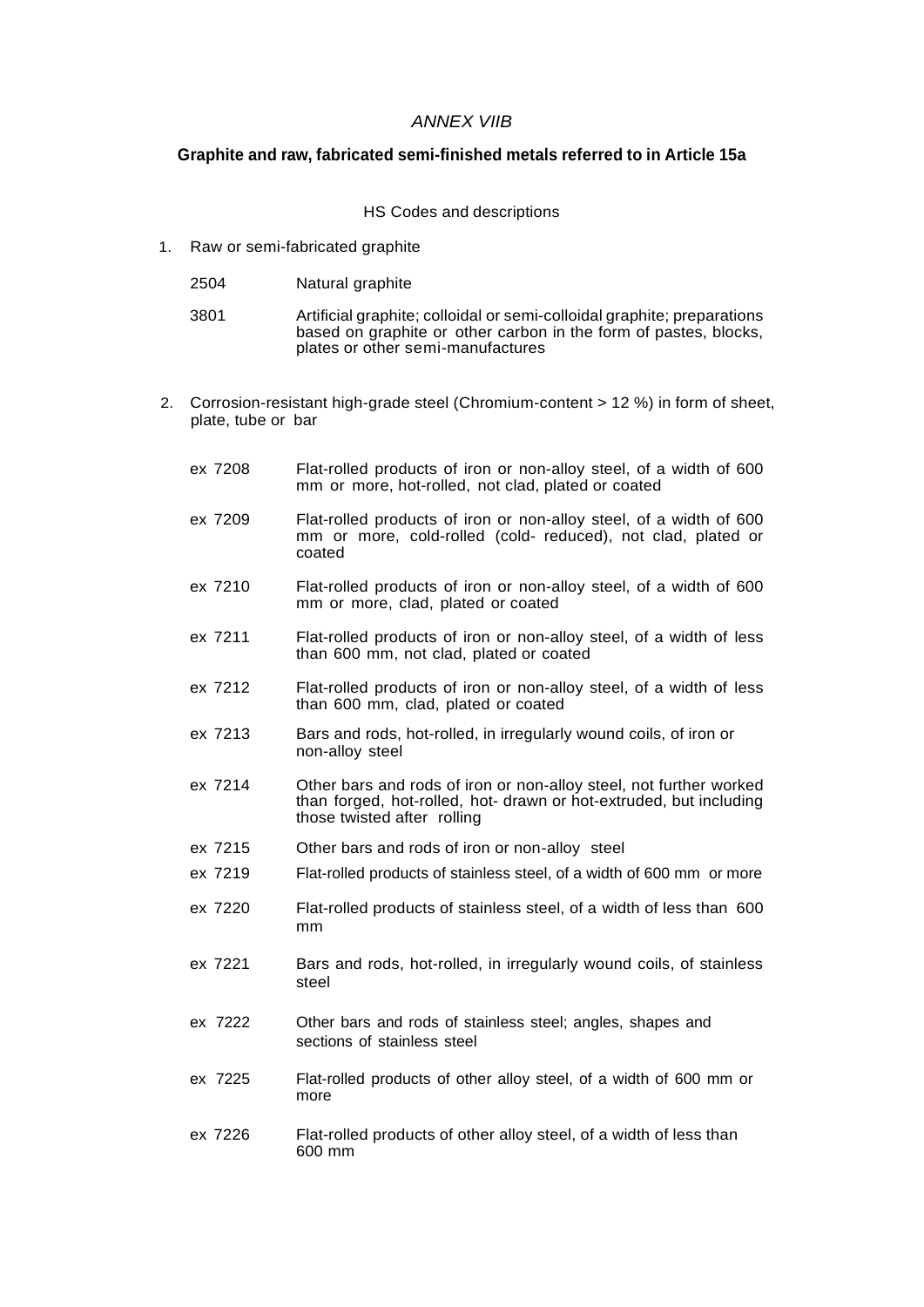## *ANNEX VIIB*

## **Graphite and raw, fabricated semi-finished metals referred to in Article 15a**

## HS Codes and descriptions

1. Raw or semi-fabricated graphite

| 2504 | Natural graphite |
|------|------------------|
|------|------------------|

| 3801 | Artificial graphite; colloidal or semi-colloidal graphite; preparations |
|------|-------------------------------------------------------------------------|
|      | based on graphite or other carbon in the form of pastes, blocks,        |
|      | plates or other semi-manufactures                                       |

- 2. Corrosion-resistant high-grade steel (Chromium-content > 12 %) in form of sheet, plate, tube or bar
	- ex 7208 Flat-rolled products of iron or non-alloy steel, of a width of 600 mm or more, hot-rolled, not clad, plated or coated
	- ex 7209 Flat-rolled products of iron or non-alloy steel, of a width of 600 mm or more, cold-rolled (cold- reduced), not clad, plated or coated
	- ex 7210 Flat-rolled products of iron or non-alloy steel, of a width of 600 mm or more, clad, plated or coated
	- ex 7211 Flat-rolled products of iron or non-alloy steel, of a width of less than 600 mm, not clad, plated or coated
	- ex 7212 Flat-rolled products of iron or non-alloy steel, of a width of less than 600 mm, clad, plated or coated
	- ex 7213 Bars and rods, hot-rolled, in irregularly wound coils, of iron or non-alloy steel
	- ex 7214 Other bars and rods of iron or non-alloy steel, not further worked than forged, hot-rolled, hot- drawn or hot-extruded, but including those twisted after rolling
	- ex 7215 Other bars and rods of iron or non-alloy steel
	- ex 7219 Flat-rolled products of stainless steel, of a width of 600 mm or more
	- ex 7220 Flat-rolled products of stainless steel, of a width of less than 600 mm
	- ex 7221 Bars and rods, hot-rolled, in irregularly wound coils, of stainless steel
	- ex 7222 Other bars and rods of stainless steel; angles, shapes and sections of stainless steel
	- ex 7225 Flat-rolled products of other alloy steel, of a width of 600 mm or more
	- ex 7226 Flat-rolled products of other alloy steel, of a width of less than 600 mm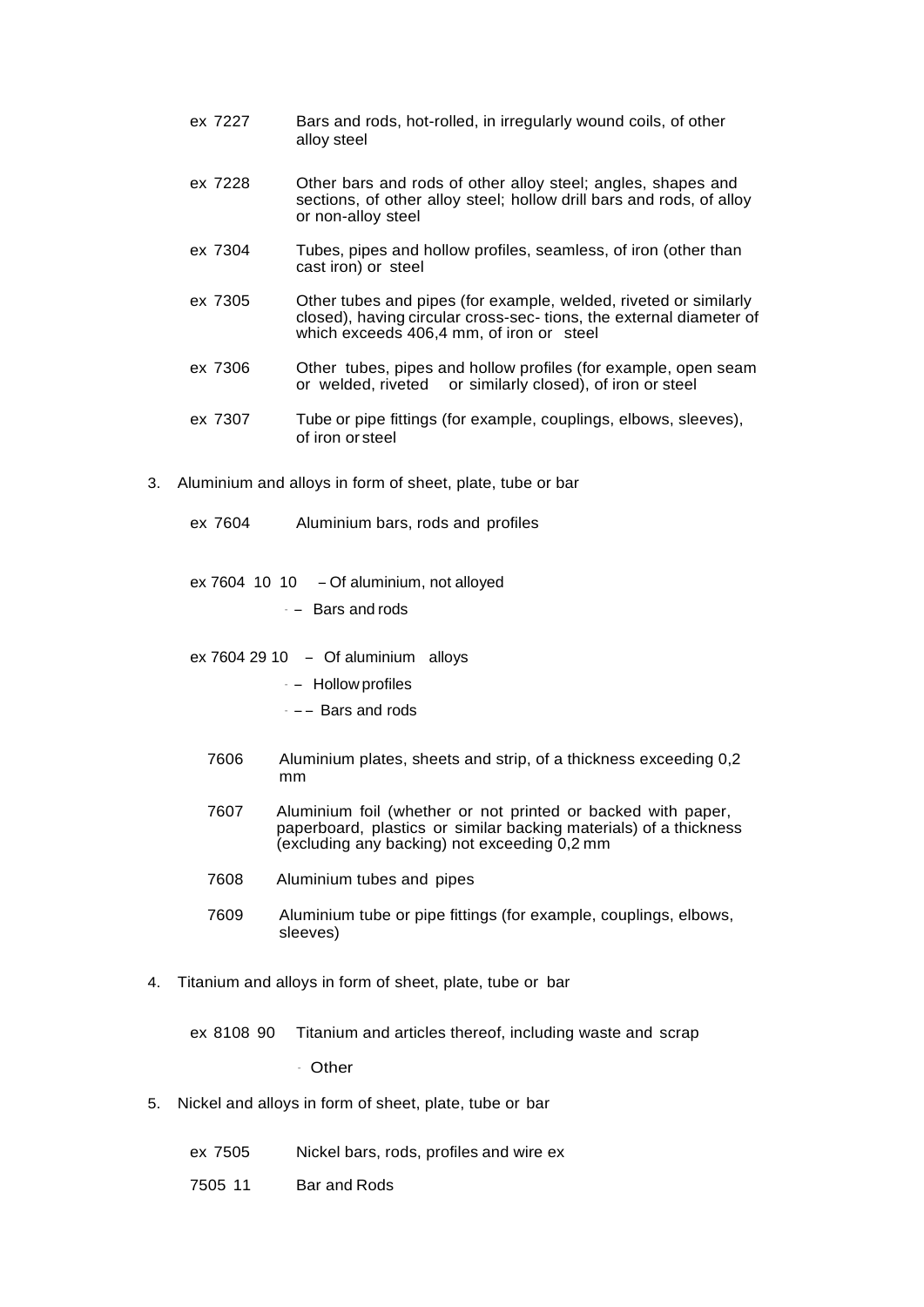- ex 7227 Bars and rods, hot-rolled, in irregularly wound coils, of other alloy steel
- ex 7228 Other bars and rods of other alloy steel; angles, shapes and sections, of other alloy steel; hollow drill bars and rods, of alloy or non-alloy steel
- ex 7304 Tubes, pipes and hollow profiles, seamless, of iron (other than cast iron) or steel
- ex 7305 Other tubes and pipes (for example, welded, riveted or similarly closed), having circular cross-sec- tions, the external diameter of which exceeds 406,4 mm, of iron or steel
- ex 7306 Other tubes, pipes and hollow profiles (for example, open seam or welded, riveted or similarly closed), of iron or steel
- ex 7307 Tube or pipe fittings (for example, couplings, elbows, sleeves), of iron or steel
- 3. Aluminium and alloys in form of sheet, plate, tube or bar
	- ex 7604 Aluminium bars, rods and profiles
	- ex 7604 10 10 Of aluminium, not alloyed
		- $-$  Bars and rods
	- ex 7604 29 10 Of aluminium alloys
		- – Hollow profiles
		- $-$  – Bars and rods
		- 7606 Aluminium plates, sheets and strip, of a thickness exceeding 0,2 mm
		- 7607 Aluminium foil (whether or not printed or backed with paper, paperboard, plastics or similar backing materials) of a thickness (excluding any backing) not exceeding 0,2 mm
		- 7608 Aluminium tubes and pipes
		- 7609 Aluminium tube or pipe fittings (for example, couplings, elbows, sleeves)
- 4. Titanium and alloys in form of sheet, plate, tube or bar
	- ex 8108 90 Titanium and articles thereof, including waste and scrap

– Other

- 5. Nickel and alloys in form of sheet, plate, tube or bar
	- ex 7505 Nickel bars, rods, profiles and wire ex
	- 7505 11 Bar and Rods